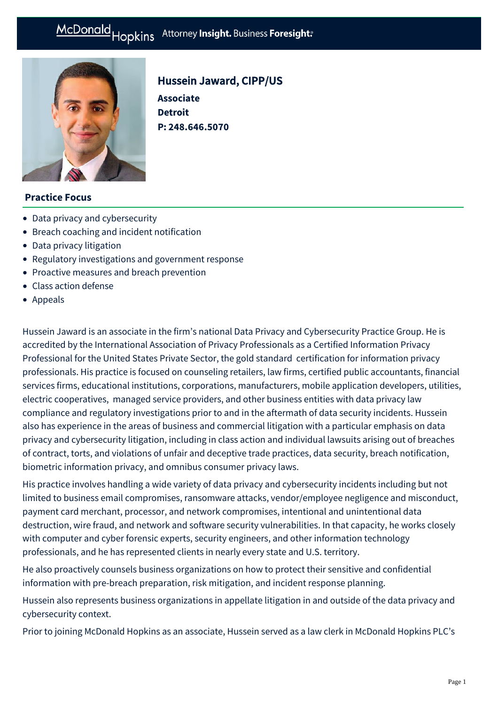# McDonald Hopkins Attorney Insight. Business Foresight:



# Hussein Jaward, CIPP/US

**Associate Detroit P: [248.646.5070](tel:248.646.5070)**

## **Practice Focus**

- [Data privacy and cybersecurity](https://mcdonaldhopkins.com/Expertise/Data-privacy-and-cybersecurity)
- [Breach coaching and incident notification](https://mcdonaldhopkins.com/Expertise/Data-privacy-and-cybersecurity/Breach-coaching-and-incident-notification)
- [Data privacy litigation](https://mcdonaldhopkins.com/Expertise/Data-privacy-and-cybersecurity/Data-privacy-litigation)
- [Regulatory investigations and government response](https://mcdonaldhopkins.com/Expertise/Data-privacy-and-cybersecurity/Regulatory-investigations-and-government-response)
- [Proactive measures and breach prevention](https://mcdonaldhopkins.com/Expertise/Data-privacy-and-cybersecurity/Proactive-measures-and-breach-prevention)
- [Class action defense](https://mcdonaldhopkins.com/Expertise/Litigation/Class-action-defense)
- [Appeals](https://mcdonaldhopkins.com/Expertise/Litigation/Appeals)

Hussein Jaward is an associate in the firm's national Data Privacy and Cybersecurity Practice Group. He is accredited by the International Association of Privacy Professionals as a Certified Information Privacy Professional for the United States Private Sector, the gold standard certification for information privacy professionals. His practice is focused on counseling retailers, law firms, certified public accountants, financial services firms, educational institutions, corporations, manufacturers, mobile application developers, utilities, electric cooperatives, managed service providers, and other business entities with data privacy law compliance and regulatory investigations prior to and in the aftermath of data security incidents. Hussein also has experience in the areas of business and commercial litigation with a particular emphasis on data privacy and cybersecurity litigation, including in class action and individual lawsuits arising out of breaches of contract, torts, and violations of unfair and deceptive trade practices, data security, breach notification, biometric information privacy, and omnibus consumer privacy laws.

His practice involves handling a wide variety of data privacy and cybersecurity incidents including but not limited to business email compromises, ransomware attacks, vendor/employee negligence and misconduct, payment card merchant, processor, and network compromises, intentional and unintentional data destruction, wire fraud, and network and software security vulnerabilities. In that capacity, he works closely with computer and cyber forensic experts, security engineers, and other information technology professionals, and he has represented clients in nearly every state and U.S. territory.

He also proactively counsels business organizations on how to protect their sensitive and confidential information with pre-breach preparation, risk mitigation, and incident response planning.

Hussein also represents business organizations in appellate litigation in and outside of the data privacy and cybersecurity context.

Prior to joining McDonald Hopkins as an associate, Hussein served as a law clerk in McDonald Hopkins PLC's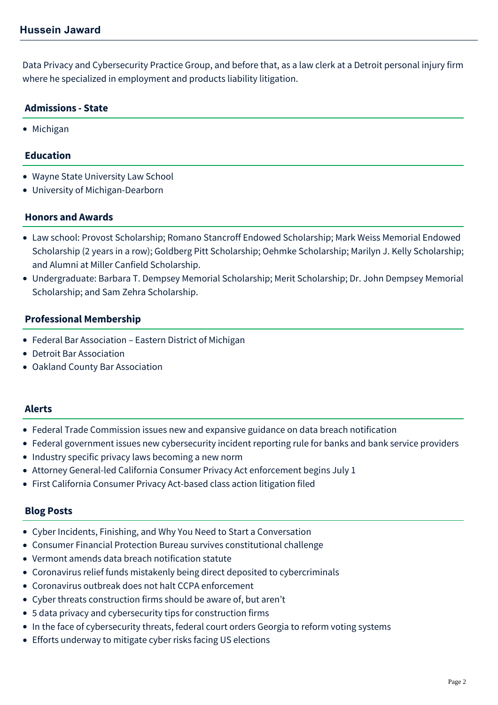Data Privacy and Cybersecurity Practice Group, and before that, as a law clerk at a Detroit personal injury firm where he specialized in employment and products liability litigation.

### **Admissions - State**

• Michigan

#### **Education**

- Wayne State University Law School
- University of Michigan-Dearborn

#### **Honors and Awards**

- Law school: Provost Scholarship; Romano Stancroff Endowed Scholarship; Mark Weiss Memorial Endowed Scholarship (2 years in a row); Goldberg Pitt Scholarship; Oehmke Scholarship; Marilyn J. Kelly Scholarship; and Alumni at Miller Canfield Scholarship.
- Undergraduate: Barbara T. Dempsey Memorial Scholarship; Merit Scholarship; Dr. John Dempsey Memorial Scholarship; and Sam Zehra Scholarship.

#### **Professional Membership**

- Federal Bar Association Eastern District of Michigan
- Detroit Bar Association
- Oakland County Bar Association

#### **Alerts**

- [Federal Trade Commission issues new and expansive guidance on data breach notification](https://mcdonaldhopkins.com/Insights/June-2022/new-FTC-data-breach-notification-guidance)
- [Federal government issues new cybersecurity incident reporting rule for banks and bank service providers](https://mcdonaldhopkins.com/Insights/November-2021/Federal-government-issues-new-cybersecurity-incide)
- [Industry specific privacy laws becoming a new norm](https://mcdonaldhopkins.com/Insights/February-2021/Industry-specific-privacy-laws-becoming-a-new-norm)
- [Attorney General-led California Consumer Privacy Act enforcement begins July 1](https://mcdonaldhopkins.com/Insights/July-2020/Attorney-General-led-California-Consumer-Privacy-A)
- [First California Consumer Privacy Act-based class action litigation filed](https://mcdonaldhopkins.com/Insights/February-2020/First-California-Consumer-Privacy-Act-based-class)

#### **Blog Posts**

- [Cyber Incidents, Finishing, and Why You Need to Start a Conversation](https://mcdonaldhopkins.com/Insights/October-2021/Cyber-Incidents-Finishing-and-Why-You-Need-to-St)
- [Consumer Financial Protection Bureau survives constitutional challenge](https://mcdonaldhopkins.com/Insights/July-2020/Consumer-Financial-Protection-Bureau-survives-cons)
- [Vermont amends data breach notification statute](https://mcdonaldhopkins.com/Insights/June-2020-(1)/Vermont-amends-data-breach-notification-statute)
- [Coronavirus relief funds mistakenly being direct deposited to cybercriminals](https://mcdonaldhopkins.com/Insights/April-2020/Coronavirus-relief-funds-mistakenly-being-direct-d)
- [Coronavirus outbreak does not halt CCPA enforcement](https://mcdonaldhopkins.com/Insights/April-2020/Coronavirus-outbreak-does-not-halt-CCPA-enforcemen)
- [Cyber threats construction firms should be aware of, but aren't](https://mcdonaldhopkins.com/Insights/November-2019/Cyber-threats-construction-firms-should-be-aware-o)
- [5 data privacy and cybersecurity tips for construction firms](https://mcdonaldhopkins.com/Insights/September-2019/5-data-privacy-and-cybersecurity-tips-for-construc)
- [In the face of cybersecurity threats, federal court orders Georgia to reform voting systems](https://mcdonaldhopkins.com/Insights/August-2019/In-the-face-of-cybersecurity-threats-federal-court)
- [Efforts underway to mitigate cyber risks facing US elections](https://mcdonaldhopkins.com/Insights/August-2019/Efforts-underway-to-mitigate-cyber-risks-facing-US)